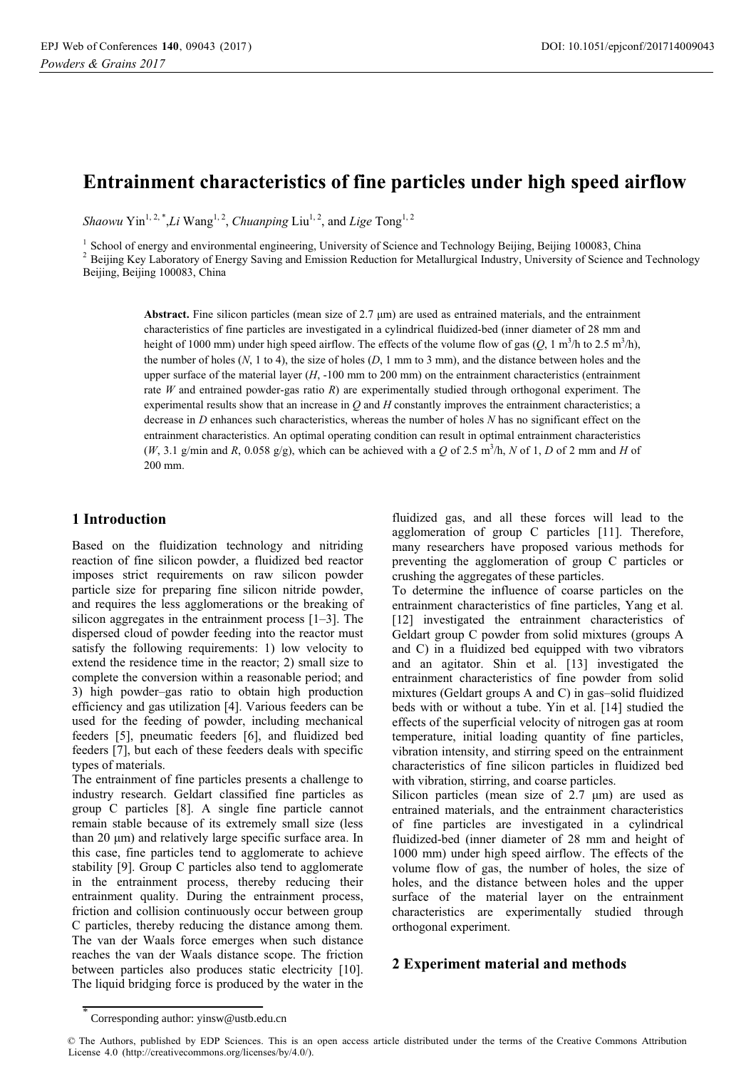# **Entrainment characteristics of fine particles under high speed airflow**

*Shaowu* Yin<sup>1, 2, \*</sup>,*Li* Wang<sup>1, 2</sup>, *Chuanping* Liu<sup>1, 2</sup>, and *Lige* Tong<sup>1, 2</sup>

 $^1$  School of energy and environmental engineering, University of Science and Technology Beijing, Beijing 100083, China<br><sup>2</sup> Beijing Key Laboratory of Energy Saving and Emission Reduction for Metallurgical Industry, Unive

Beijing, Beijing 100083, China

Abstract. Fine silicon particles (mean size of  $2.7 \mu m$ ) are used as entrained materials, and the entrainment characteristics of fine particles are investigated in a cylindrical fluidized-bed (inner diameter of 28 mm and height of 1000 mm) under high speed airflow. The effects of the volume flow of gas  $(Q, 1 \text{ m}^3/\text{h}$  to 2.5 m<sup>3</sup>/h), the number of holes (*N*, 1 to 4), the size of holes (*D*, 1 mm to 3 mm), and the distance between holes and the upper surface of the material layer (*H*, -100 mm to 200 mm) on the entrainment characteristics (entrainment rate *W* and entrained powder-gas ratio *R*) are experimentally studied through orthogonal experiment. The experimental results show that an increase in *Q* and *H* constantly improves the entrainment characteristics; a decrease in *D* enhances such characteristics, whereas the number of holes *N* has no significant effect on the entrainment characteristics. An optimal operating condition can result in optimal entrainment characteristics (*W*, 3.1 g/min and *R*, 0.058 g/g), which can be achieved with a Q of 2.5 m<sup>3</sup>/h, *N* of 1, *D* of 2 mm and *H* of 200 mm.

# **1 Introduction**

Based on the fluidization technology and nitriding reaction of fine silicon powder, a fluidized bed reactor imposes strict requirements on raw silicon powder particle size for preparing fine silicon nitride powder, and requires the less agglomerations or the breaking of silicon aggregates in the entrainment process [1–3]. The dispersed cloud of powder feeding into the reactor must satisfy the following requirements: 1) low velocity to extend the residence time in the reactor; 2) small size to complete the conversion within a reasonable period; and 3) high powder–gas ratio to obtain high production efficiency and gas utilization [4]. Various feeders can be used for the feeding of powder, including mechanical feeders [5], pneumatic feeders [6], and fluidized bed feeders [7], but each of these feeders deals with specific types of materials.

The entrainment of fine particles presents a challenge to industry research. Geldart classified fine particles as group C particles [8]. A single fine particle cannot remain stable because of its extremely small size (less than 20 μm) and relatively large specific surface area. In this case, fine particles tend to agglomerate to achieve stability [9]. Group C particles also tend to agglomerate in the entrainment process, thereby reducing their entrainment quality. During the entrainment process, friction and collision continuously occur between group C particles, thereby reducing the distance among them. The van der Waals force emerges when such distance reaches the van der Waals distance scope. The friction between particles also produces static electricity [10]. The liquid bridging force is produced by the water in the

fluidized gas, and all these forces will lead to the agglomeration of group C particles [11]. Therefore, many researchers have proposed various methods for preventing the agglomeration of group C particles or crushing the aggregates of these particles.

To determine the influence of coarse particles on the entrainment characteristics of fine particles, Yang et al. [12] investigated the entrainment characteristics of Geldart group C powder from solid mixtures (groups A and C) in a fluidized bed equipped with two vibrators and an agitator. Shin et al. [13] investigated the entrainment characteristics of fine powder from solid mixtures (Geldart groups A and C) in gas–solid fluidized beds with or without a tube. Yin et al. [14] studied the effects of the superficial velocity of nitrogen gas at room temperature, initial loading quantity of fine particles, vibration intensity, and stirring speed on the entrainment characteristics of fine silicon particles in fluidized bed with vibration, stirring, and coarse particles.

Silicon particles (mean size of  $2.7 \mu m$ ) are used as entrained materials, and the entrainment characteristics of fine particles are investigated in a cylindrical fluidized-bed (inner diameter of 28 mm and height of 1000 mm) under high speed airflow. The effects of the volume flow of gas, the number of holes, the size of holes, and the distance between holes and the upper surface of the material layer on the entrainment characteristics are experimentally studied through orthogonal experiment.

## **2 Experiment material and methods**

Corresponding author: yinsw@ustb.edu.cn

<sup>©</sup> The Authors, published by EDP Sciences. This is an open access article distributed under the terms of the Creative Commons Attribution License 4.0 (http://creativecommons.org/licenses/by/4.0/).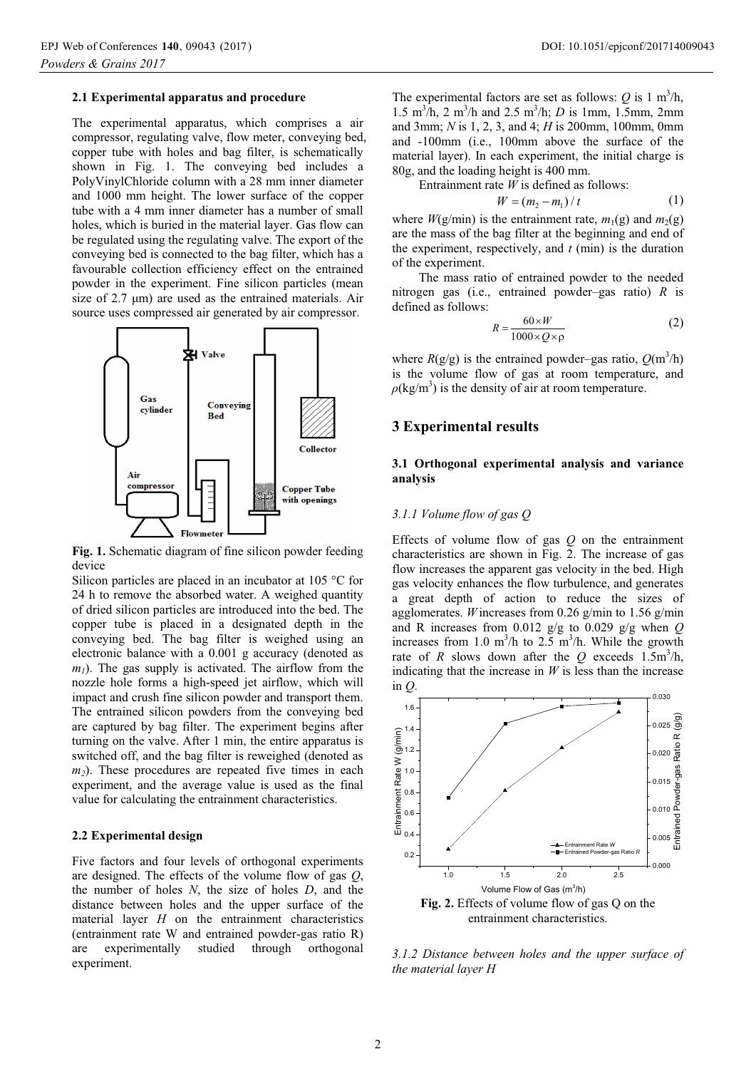#### **2.1 Experimental apparatus and procedure**

The experimental apparatus, which comprises a air compressor, regulating valve, flow meter, conveying bed, copper tube with holes and bag filter, is schematically shown in Fig. 1. The conveying bed includes a PolyVinylChloride column with a 28 mm inner diameter and 1000 mm height. The lower surface of the copper tube with a 4 mm inner diameter has a number of small holes, which is buried in the material layer. Gas flow can be regulated using the regulating valve. The export of the conveying bed is connected to the bag filter, which has a favourable collection efficiency effect on the entrained powder in the experiment. Fine silicon particles (mean size of 2.7  $\mu$ m) are used as the entrained materials. Air source uses compressed air generated by air compressor.



**Fig. 1.** Schematic diagram of fine silicon powder feeding device

Silicon particles are placed in an incubator at 105 °C for 24 h to remove the absorbed water. A weighed quantity of dried silicon particles are introduced into the bed. The copper tube is placed in a designated depth in the conveying bed. The bag filter is weighed using an electronic balance with a 0.001 g accuracy (denoted as  $m_1$ ). The gas supply is activated. The airflow from the nozzle hole forms a high-speed jet airflow, which will impact and crush fine silicon powder and transport them. The entrained silicon powders from the conveying bed are captured by bag filter. The experiment begins after turning on the valve. After 1 min, the entire apparatus is switched off, and the bag filter is reweighed (denoted as  $m<sub>2</sub>$ ). These procedures are repeated five times in each experiment, and the average value is used as the final value for calculating the entrainment characteristics.

#### **2.2 Experimental design**

Five factors and four levels of orthogonal experiments are designed. The effects of the volume flow of gas *Q*, the number of holes *N*, the size of holes *D*, and the distance between holes and the upper surface of the material layer *H* on the entrainment characteristics (entrainment rate W and entrained powder-gas ratio R) are experimentally studied through orthogonal experiment.

The experimental factors are set as follows:  $Q$  is 1 m<sup>3</sup>/h, 1.5 m3 /h, 2 m3 /h and 2.5 m3 /h; *D* is 1mm, 1.5mm, 2mm and 3mm; *N* is 1, 2, 3, and 4; *H* is 200mm, 100mm, 0mm and -100mm (i.e., 100mm above the surface of the material layer). In each experiment, the initial charge is 80g, and the loading height is 400 mm.

Entrainment rate *W* is defined as follows:

$$
W = (m_2 - m_1) / t \tag{1}
$$

where  $W(g/\text{min})$  is the entrainment rate,  $m_1(g)$  and  $m_2(g)$ are the mass of the bag filter at the beginning and end of the experiment, respectively, and *t* (min) is the duration of the experiment.

The mass ratio of entrained powder to the needed nitrogen gas (i.e., entrained powder–gas ratio) *R* is defined as follows:

$$
R = \frac{60 \times W}{1000 \times Q \times \rho} \tag{2}
$$

where  $R(g/g)$  is the entrained powder–gas ratio,  $Q(m^3/h)$ is the volume flow of gas at room temperature, and  $\rho$ (kg/m<sup>3</sup>) is the density of air at room temperature.

## **3 Experimental results**

## **3.1 Orthogonal experimental analysis and variance analysis**

## *3.1.1 Volume flow of gas Q*

Effects of volume flow of gas *Q* on the entrainment characteristics are shown in Fig.  $2$ . The increase of gas flow increases the apparent gas velocity in the bed. High gas velocity enhances the flow turbulence, and generates a great depth of action to reduce the sizes of agglomerates. *W* increases from 0.26 g/min to 1.56 g/min and R increases from 0.012 g/g to 0.029 g/g when *Q* increases from 1.0  $m^3/h$  to 2.5  $m^3/h$ . While the growth rate of *R* slows down after the *Q* exceeds  $1.5 \text{m}^3/\text{h}$ , indicating that the increase in *W* is less than the increase in *Q*.



*3.1.2 Distance between holes and the upper surface of the material layer H*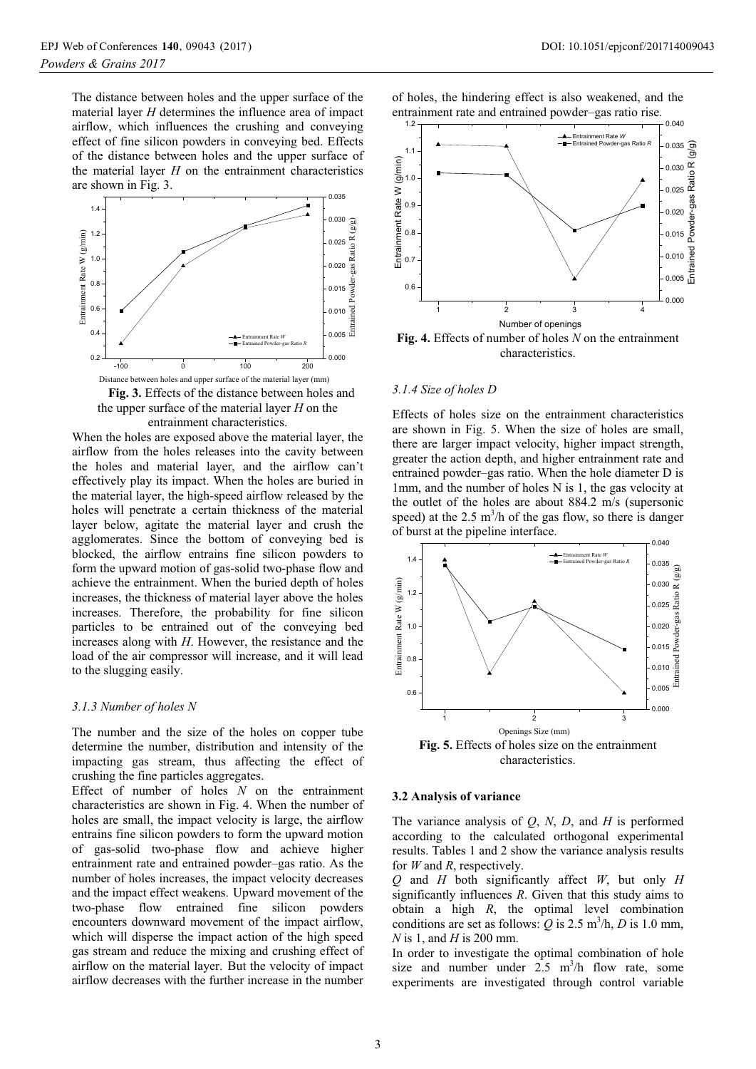The distance between holes and the upper surface of the material layer *H* determines the influence area of impact airflow, which influences the crushing and conveying effect of fine silicon powders in conveying bed. Effects of the distance between holes and the upper surface of the material layer *H* on the entrainment characteristics are shown in Fig. 3.



**Fig. 3.** Effects of the distance between holes and the upper surface of the material layer *H* on the entrainment characteristics.

When the holes are exposed above the material layer, the airflow from the holes releases into the cavity between the holes and material layer, and the airflow can't effectively play its impact. When the holes are buried in the material layer, the high-speed airflow released by the holes will penetrate a certain thickness of the material layer below, agitate the material layer and crush the agglomerates. Since the bottom of conveying bed is blocked, the airflow entrains fine silicon powders to form the upward motion of gas-solid two-phase flow and achieve the entrainment. When the buried depth of holes increases, the thickness of material layer above the holes increases. Therefore, the probability for fine silicon particles to be entrained out of the conveying bed increases along with *H*. However, the resistance and the load of the air compressor will increase, and it will lead to the slugging easily.

### *3.1.3 Number of holes N*

The number and the size of the holes on copper tube determine the number, distribution and intensity of the impacting gas stream, thus affecting the effect of crushing the fine particles aggregates.

Effect of number of holes *N* on the entrainment characteristics are shown in Fig. 4. When the number of holes are small, the impact velocity is large, the airflow entrains fine silicon powders to form the upward motion of gas-solid two-phase flow and achieve higher entrainment rate and entrained powder–gas ratio. As the number of holes increases, the impact velocity decreases and the impact effect weakens. Upward movement of the two-phase flow entrained fine silicon powders encounters downward movement of the impact airflow, which will disperse the impact action of the high speed gas stream and reduce the mixing and crushing effect of airflow on the material layer. But the velocity of impact airflow decreases with the further increase in the number

of holes, the hindering effect is also weakened, and the entrainment rate and entrained powder–gas ratio rise.



**Fig. 4.** Effects of number of holes *N* on the entrainment characteristics.

#### *3.1.4 Size of holes D*

Effects of holes size on the entrainment characteristics are shown in Fig. 5. When the size of holes are small, there are larger impact velocity, higher impact strength, greater the action depth, and higher entrainment rate and entrained powder–gas ratio. When the hole diameter D is 1mm, and the number of holes N is 1, the gas velocity at the outlet of the holes are about 884.2 m/s (supersonic speed) at the 2.5  $\text{m}^3$ /h of the gas flow, so there is danger of burst at the pipeline interface.



#### **3.2 Analysis of variance**

The variance analysis of *Q*, *N*, *D*, and *H* is performed according to the calculated orthogonal experimental results. Tables 1 and 2 show the variance analysis results for *W* and *R*, respectively.

*Q* and *H* both significantly affect *W*, but only *H* significantly influences *R*. Given that this study aims to obtain a high *R*, the optimal level combination conditions are set as follows:  $Q$  is 2.5 m<sup>3</sup>/h, *D* is 1.0 mm, *N* is 1, and *H* is 200 mm.

In order to investigate the optimal combination of hole size and number under  $2.5 \text{ m}^3/\text{h}$  flow rate, some experiments are investigated through control variable